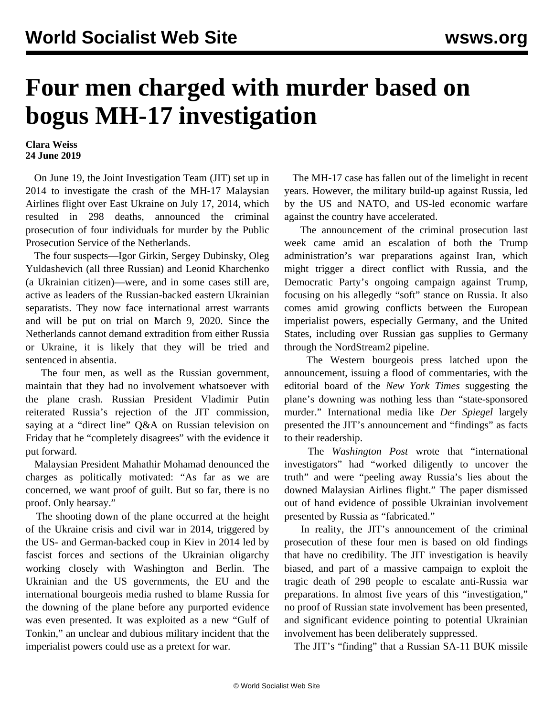## **Four men charged with murder based on bogus MH-17 investigation**

**Clara Weiss 24 June 2019**

 On June 19, the Joint Investigation Team (JIT) set up in 2014 to investigate the crash of the MH-17 Malaysian Airlines flight over East Ukraine on July 17, 2014, which resulted in 298 deaths, announced the criminal prosecution of four individuals for murder by the Public Prosecution Service of the Netherlands.

 The four suspects—Igor Girkin, Sergey Dubinsky, Oleg Yuldashevich (all three Russian) and Leonid Kharchenko (a Ukrainian citizen)—were, and in some cases still are, active as leaders of the Russian-backed eastern Ukrainian separatists. They now face international arrest warrants and will be put on trial on March 9, 2020. Since the Netherlands cannot demand extradition from either Russia or Ukraine, it is likely that they will be tried and sentenced in absentia.

 The four men, as well as the Russian government, maintain that they had no involvement whatsoever with the plane crash. Russian President Vladimir Putin reiterated Russia's rejection of the JIT commission, saying at a "direct line" Q&A on Russian television on Friday that he "completely disagrees" with the evidence it put forward.

 Malaysian President Mahathir Mohamad denounced the charges as politically motivated: "As far as we are concerned, we want proof of guilt. But so far, there is no proof. Only hearsay."

 The shooting down of the plane occurred at the height of the Ukraine crisis and civil war in 2014, triggered by the US- and German-backed coup in Kiev in 2014 led by fascist forces and sections of the Ukrainian oligarchy working closely with Washington and Berlin. The Ukrainian and the US governments, the EU and the international bourgeois media rushed to blame Russia for the downing of the plane before any purported evidence was even presented. It was exploited as a new "Gulf of Tonkin," an unclear and dubious military incident that the imperialist powers could use as a pretext for war.

 The MH-17 case has fallen out of the limelight in recent years. However, the military build-up against Russia, led by the US and NATO, and US-led economic warfare against the country have accelerated.

 The announcement of the criminal prosecution last week came amid an escalation of both the Trump administration's war preparations against Iran, which might trigger a direct conflict with Russia, and the Democratic Party's ongoing campaign against Trump, focusing on his allegedly "soft" stance on Russia. It also comes amid growing conflicts between the European imperialist powers, especially Germany, and the United States, including over Russian gas supplies to Germany through the NordStream2 pipeline.

 The Western bourgeois press latched upon the announcement, issuing a flood of commentaries, with the editorial board of the *New York Times* suggesting the plane's downing was nothing less than "state-sponsored murder." International media like *Der Spiegel* largely presented the JIT's announcement and "findings" as facts to their readership.

 The *Washington Post* wrote that "international investigators" had "worked diligently to uncover the truth" and were "peeling away Russia's lies about the downed Malaysian Airlines flight." The paper dismissed out of hand evidence of possible Ukrainian involvement presented by Russia as "fabricated."

 In reality, the JIT's announcement of the criminal prosecution of these four men is based on old findings that have no credibility. The JIT investigation is heavily biased, and part of a massive campaign to exploit the tragic death of 298 people to escalate anti-Russia war preparations. In almost five years of this "investigation," no proof of Russian state involvement has been presented, and significant evidence pointing to potential Ukrainian involvement has been deliberately suppressed.

The JIT's "finding" that a Russian SA-11 BUK missile